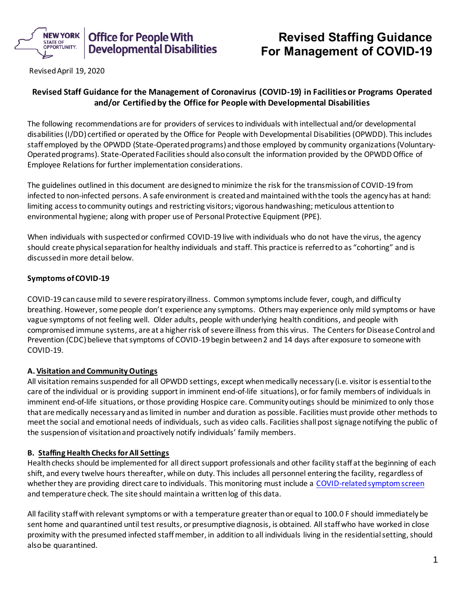

# **Revised Staffing Guidance For Management of COVID-19**

Revised April 19, 2020

# **Revised Staff Guidance for the Management of Coronavirus (COVID-19) in Facilities or Programs Operated and/or Certified by the Office for People with Developmental Disabilities**

The following recommendations are for providers of services to individuals with intellectual and/or developmental disabilities (I/DD) certified or operated by the Office for People with Developmental Disabilities (OPWDD). This includes staff employed by the OPWDD (State-Operated programs) and those employed by community organizations (Voluntary-Operated programs). State-Operated Facilities should also consult the information provided by the OPWDD Office of Employee Relations for further implementation considerations.

The guidelines outlined in this document are designed to minimize the risk for the transmission of COVID-19 from infected to non-infected persons. A safe environment is created and maintained with the tools the agency has at hand: limiting access to community outings and restricting visitors; vigorous handwashing; meticulous attention to environmental hygiene; along with proper use of Personal Protective Equipment (PPE).

When individuals with suspected or confirmed COVID-19 live with individuals who do not have the virus, the agency should create physical separation for healthy individuals and staff. This practice is referred to as "cohorting" and is discussed in more detail below.

# **Symptoms of COVID-19**

COVID-19 can cause mild to severe respiratory illness. Common symptoms include fever, cough, and difficulty breathing. However, some people don't experience any symptoms. Others may experience only mild symptoms or have vague symptoms of not feeling well. Older adults, people with underlying health conditions, and people with compromised immune systems, are at a higher risk of severe illness from this virus. The Centers for Disease Control and Prevention (CDC) believe that symptoms of COVID-19 begin between 2 and 14 days after exposure to someone with COVID-19.

## **A. Visitation and Community Outings**

All visitation remains suspended for all OPWDD settings, except when medically necessary (i.e. visitor is essential to the care of the individual or is providing support in imminent end-of-life situations), or for family members of individuals in imminent end-of-life situations, or those providing Hospice care. Community outings should be minimized to only those that are medically necessary and as limited in number and duration as possible. Facilities must provide other methods to meet the social and emotional needs of individuals, such as video calls. Facilities shall post signage notifying the public of the suspension of visitation and proactively notify individuals' family members.

# **B. Staffing Health Checks for All Settings**

Health checks should be implemented for all direct support professionals and other facility staff at the beginning of each shift, and every twelve hours thereafter, while on duty. This includes all personnel entering the facility, regardless of whether they are providing direct care to individuals. This monitoring must include a COVID-related symptom screen and temperature check. The site should maintain a written log of this data.

All facility staff with relevant symptoms or with a temperature greater than or equal to 100.0 F should immediately be sent home and quarantined until test results, or presumptive diagnosis, is obtained. All staff who have worked in close proximity with the presumed infected staffmember, in addition to all individuals living in the residential setting, should also be quarantined.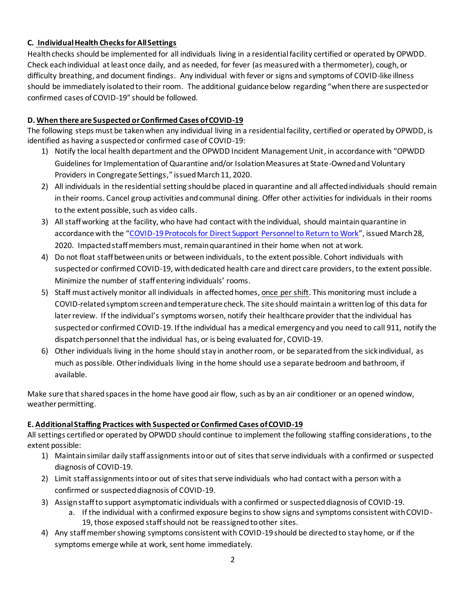## **C. Individual Health Checks for All Settings**

Health checks should be implemented for all individuals living in a residential facility certified or operated by OPWDD. Check each individual at least once daily, and as needed, for fever (as measured with a thermometer), cough, or difficulty breathing, and document findings. Any individual with fever or signs and symptoms of COVID-like illness should be immediately isolated to their room. The additional guidance below regarding "when there are suspected or confirmed cases of COVID-19" should be followed.

## **D. When there are Suspected or Confirmed Cases of COVID-19**

The following steps must be taken when any individual living in a residential facility, certified or operated by OPWDD, is identified as having a suspected or confirmed case of COVID-19:

- 1) Notify the local health department and the OPWDD Incident Management Unit, in accordance with "OPWDD Guidelines for Implementation of Quarantine and/or Isolation Measures at State-Owned and Voluntary Providers in Congregate Settings," issued March 11, 2020.
- 2) All individuals in the residential setting should be placed in quarantine and all affected individuals should remain in their rooms. Cancel group activities and communal dining. Offer other activities for individuals in their rooms to the extent possible, such as video calls.
- 3) All staff working at the facility, who have had contact with the individual, should maintain quarantine in accordance with the "COVID-19 Protocols for Direct Support Personnel to Return to Work", issued March 28, 2020. Impacted staff members must, remain quarantined in their home when not at work.
- 4) Do not float staff between units or between individuals, to the extent possible. Cohort individuals with suspected or confirmed COVID-19, with dedicated health care and direct care providers, to the extent possible. Minimize the number of staff entering individuals' rooms.
- 5) Staff must actively monitor all individuals in affected homes, once per shift. This monitoring must include a COVID-related symptom screen and temperature check. The site should maintain a writtenlog of this data for later review. If the individual's symptoms worsen, notify their healthcare provider that the individual has suspected or confirmed COVID-19. If the individual has a medical emergency and you need to call 911, notify the dispatch personnel that the individual has, or is being evaluated for, COVID-19.
- 6) Other individuals living in the home should stay in another room, or be separated from the sick individual, as much as possible. Other individuals living in the home should use a separate bedroom and bathroom, if available.

Make sure that shared spaces in the home have good air flow, such as by an air conditioner or an opened window, weather permitting.

# **E. Additional Staffing Practices with Suspected or Confirmed Cases of COVID-19**

All settings certified or operated by OPWDD should continue to implement the following staffing considerations, to the extent possible:

- 1) Maintainsimilar daily staff assignments into or out of sites that serve individuals with a confirmed or suspected diagnosis of COVID-19.
- 2) Limit staff assignments into or out of sites that serve individuals who had contact with a person with a confirmed or suspected diagnosis of COVID-19.
- 3) Assignstaff to support asymptomatic individuals with a confirmed or suspected diagnosis of COVID-19.
	- a. If the individual with a confirmed exposure begins to show signs and symptoms consistent with COVID-19, those exposed staff should not be reassigned to other sites.
- 4) Any staff member showing symptoms consistent with COVID-19 should be directed to stay home, or if the symptoms emerge while at work, sent home immediately.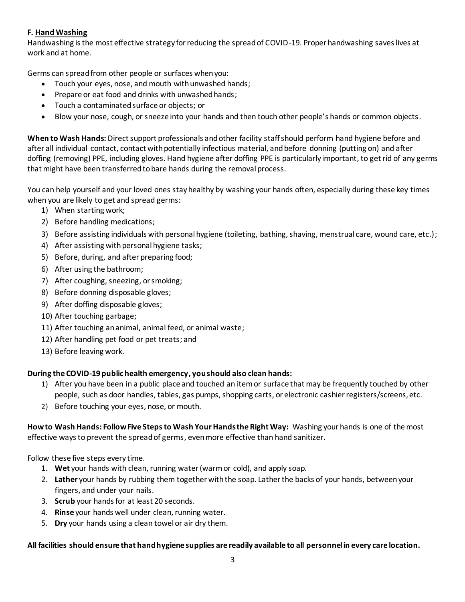## **F. Hand Washing**

Handwashing is the most effective strategy for reducing the spread of COVID-19. Proper handwashing saves lives at work and at home.

Germs can spread from other people or surfaces when you:

- Touch your eyes, nose, and mouth with unwashed hands;
- Prepare or eat food and drinks with unwashed hands;
- Touch a contaminated surface or objects; or
- Blow your nose, cough, or sneeze into your hands and then touch other people's hands or common objects.

**When to Wash Hands:** Direct support professionals and other facility staff should perform hand hygiene before and after all individual contact, contact with potentially infectious material, and before donning (putting on) and after doffing (removing) PPE, including gloves. Hand hygiene after doffing PPE is particularly important, to get rid of any germs that might have been transferred to bare hands during the removal process.

You can help yourself and your loved ones stay healthy by washing your hands often, especially during these key times when you are likely to get and spread germs:

- 1) When starting work;
- 2) Before handling medications;
- 3) Before assisting individuals with personal hygiene (toileting, bathing, shaving, menstrual care, wound care, etc.);
- 4) After assisting with personal hygiene tasks;
- 5) Before, during, and after preparing food;
- 6) After using the bathroom;
- 7) After coughing, sneezing, or smoking;
- 8) Before donning disposable gloves;
- 9) After doffing disposable gloves;
- 10) After touching garbage;
- 11) After touching an animal, animal feed, or animal waste;
- 12) After handling pet food or pet treats; and
- 13) Before leaving work.

## **During the COVID-19 public health emergency, you should also clean hands:**

- 1) After you have been in a public place and touched an item or surface that may be frequently touched by other people, such as door handles, tables, gas pumps, shopping carts, or electronic cashier registers/screens, etc.
- 2) Before touching your eyes, nose, or mouth.

**How to Wash Hands: Follow Five Steps to Wash Your Hands the Right Way:** Washing your hands is one of the most effective ways to prevent the spread of germs, even more effective than hand sanitizer.

Follow these five steps every time.

- 1. **Wet** your hands with clean, running water (warm or cold), and apply soap.
- 2. **Lather** your hands by rubbing them together with the soap. Lather the backs of your hands, between your fingers, and under your nails.
- 3. **Scrub** your hands for at least 20 seconds.
- 4. **Rinse** your hands well under clean, running water.
- 5. **Dry** your hands using a clean towel or air dry them.

# **All facilities should ensure that hand hygiene supplies are readily available to all personnel in every care location.**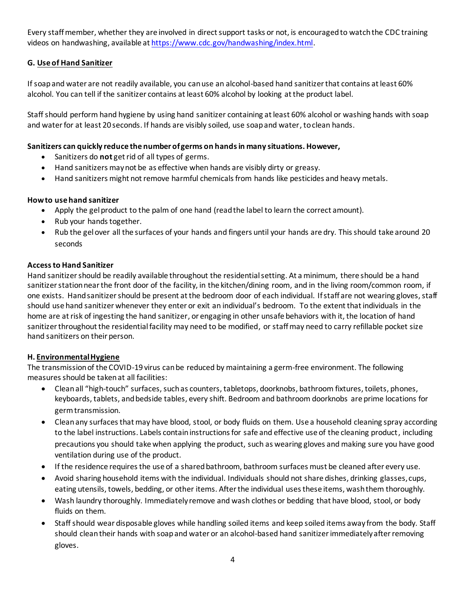Every staffmember, whether they are involved in direct support tasks or not, is encouraged to watch the CDC training videos on handwashing, available at https://www.cdc.gov/handwashing/index.html.

## **G. Use of Hand Sanitizer**

If soap and water are not readily available, you can use an alcohol-based hand sanitizer that contains at least 60% alcohol. You can tell if the sanitizer contains at least 60% alcohol by looking at the product label.

Staff should perform hand hygiene by using hand sanitizer containing at least 60% alcohol or washing hands with soap and water for at least 20 seconds. If hands are visibly soiled, use soap and water, to clean hands.

## **Sanitizers can quickly reduce the number of germs on hands in many situations. However,**

- Sanitizers do **not** get rid of all types of germs.
- Hand sanitizers may not be as effective when hands are visibly dirty or greasy.
- Hand sanitizers might not remove harmful chemicals from hands like pesticides and heavy metals.

#### **How to use hand sanitizer**

- Apply the gel product to the palm of one hand (read the label to learn the correct amount).
- Rub your hands together.
- Rub the gel over all the surfaces of your hands and fingers until your hands are dry. This should take around 20 seconds

#### **Access to Hand Sanitizer**

Hand sanitizer should be readily available throughout the residential setting. At a minimum, there should be a hand sanitizer station near the front door of the facility, in the kitchen/dining room, and in the living room/common room, if one exists. Hand sanitizer should be present at the bedroom door of each individual. If staff are not wearing gloves, staff should use hand sanitizer whenever they enter or exit an individual's bedroom. To the extent that individuals in the home are at risk of ingesting the hand sanitizer, or engaging in other unsafe behaviors with it, the location of hand sanitizer throughout the residential facility may need to be modified, or staff may need to carry refillable pocket size hand sanitizers on their person.

#### **H. Environmental Hygiene**

The transmission of the COVID-19 virus can be reduced by maintaining a germ-free environment. The following measures should be taken at all facilities:

- Clean all "high-touch" surfaces, such as counters, tabletops, doorknobs, bathroom fixtures, toilets, phones, keyboards, tablets, and bedside tables, every shift. Bedroom and bathroom doorknobs are prime locations for germ transmission.
- Clean any surfaces that may have blood, stool, or body fluids on them. Use a household cleaning spray according to the label instructions. Labels contain instructions for safe and effective use of the cleaning product, including precautions you should take when applying the product, such as wearing gloves and making sure you have good ventilation during use of the product.
- If the residence requires the use of a shared bathroom, bathroom surfaces must be cleaned after every use.
- Avoid sharing household items with the individual. Individuals should not share dishes, drinking glasses, cups, eating utensils, towels, bedding, or other items. After the individual uses these items, wash them thoroughly.
- Wash laundry thoroughly. Immediately remove and wash clothes or bedding that have blood, stool, or body fluids on them.
- Staff should wear disposable gloves while handling soiled items and keep soiled items away from the body. Staff should clean their hands with soap and water or an alcohol-based hand sanitizer immediately after removing gloves.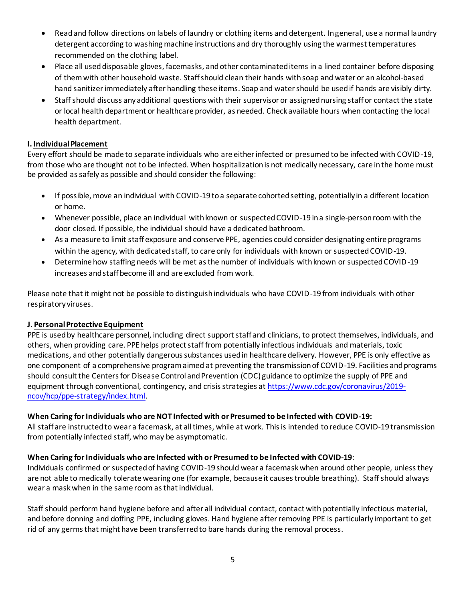- Read and follow directions on labels of laundry or clothing items and detergent. In general, use a normal laundry detergent according to washing machine instructions and dry thoroughly using the warmest temperatures recommended on the clothing label.
- Place all used disposable gloves, facemasks, and other contaminated items in a lined container before disposing of them with other household waste. Staff should clean their hands with soap and water or an alcohol-based hand sanitizer immediately after handling these items. Soap and water should be used if hands are visibly dirty.
- Staff should discuss any additional questions with their supervisor or assigned nursing staff or contact the state or local health department or healthcare provider, as needed. Check available hours when contacting the local health department.

#### **I. Individual Placement**

Every effort should be made to separate individuals who are either infected or presumed to be infected with COVID-19, from those who are thought not to be infected. When hospitalization is not medically necessary, care in the home must be provided as safely as possible and should consider the following:

- If possible, move an individual with COVID-19 to a separate cohorted setting, potentially in a different location or home.
- Whenever possible, place an individual with known or suspected COVID-19 in a single-person room with the door closed. If possible, the individual should have a dedicated bathroom.
- As a measure to limit staff exposure and conserve PPE, agencies could consider designating entire programs within the agency, with dedicated staff, to care only for individuals with known or suspected COVID-19.
- Determine how staffing needs will be met as the number of individuals with known or suspected COVID-19 increases and staff become ill and are excluded from work.

Please note that it might not be possible to distinguish individuals who have COVID-19 from individuals with other respiratory viruses.

#### **J. Personal Protective Equipment**

PPE is used by healthcare personnel, including direct support staff and clinicians, to protect themselves, individuals, and others, when providing care. PPE helps protect staff from potentially infectious individuals and materials, toxic medications, and other potentially dangerous substances used in healthcare delivery. However, PPE is only effective as one component of a comprehensive program aimed at preventing the transmission of COVID-19. Facilities and programs should consult the Centers for Disease Control and Prevention (CDC) guidance to optimize the supply of PPE and equipment through conventional, contingency, and crisis strategies at https://www.cdc.gov/coronavirus/2019 ncov/hcp/ppe-strategy/index.html.

#### **When Caring forIndividuals who are NOT Infected with or Presumed to be Infected with COVID-19:**

All staff are instructed to wear a facemask, at all times, while at work. This is intended to reduce COVID-19 transmission from potentially infected staff, who may be asymptomatic.

## **When Caring forIndividuals who are Infected with or Presumed to be Infected with COVID-19**:

Individuals confirmed or suspected of having COVID-19 should wear a facemask when around other people, unless they are not able to medically tolerate wearing one (for example, because it causes trouble breathing). Staff should always wear a maskwhen in the same room as that individual.

Staff should perform hand hygiene before and after all individual contact, contact with potentially infectious material, and before donning and doffing PPE, including gloves. Hand hygiene after removing PPE is particularly important to get rid of any germs that might have been transferred to bare hands during the removal process.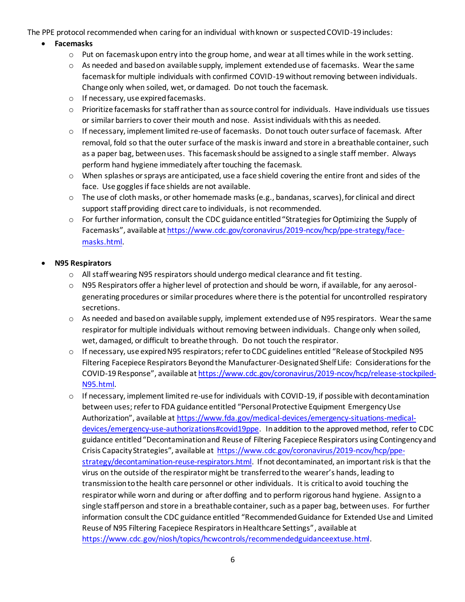The PPE protocol recommended when caring for an individual with known or suspected COVID-19 includes:

## • **Facemasks**

- $\circ$  Put on facemask upon entry into the group home, and wear at all times while in the work setting.
- $\circ$  As needed and based on available supply, implement extended use of facemasks. Wear the same facemask for multiple individuals with confirmed COVID-19 without removing between individuals. Change only when soiled, wet, or damaged. Do not touch the facemask.
- o If necessary, use expired facemasks.
- o Prioritize facemasks for staff rather than as source control for individuals. Have individuals use tissues or similar barriers to cover their mouth and nose. Assist individuals with this as needed.
- o If necessary, implement limited re-use of facemasks. Do not touch outer surface of facemask. After removal, fold so that the outer surface of the mask is inward and store in a breathable container, such as a paper bag, between uses. This facemask should be assigned to a single staff member. Always perform hand hygiene immediately after touching the facemask.
- o When splashes or sprays are anticipated, use a face shield covering the entire front and sides of the face. Use goggles if face shields are not available.
- $\circ$  The use of cloth masks, or other homemade masks (e.g., bandanas, scarves), for clinical and direct support staff providing direct care to individuals, is not recommended.
- o For further information, consult the CDC guidance entitled "Strategies for Optimizing the Supply of Facemasks", available at https://www.cdc.gov/coronavirus/2019-ncov/hcp/ppe-strategy/facemasks.html.

## • **N95 Respirators**

- $\circ$  All staff wearing N95 respirators should undergo medical clearance and fit testing.
- o N95 Respirators offer a higher level of protection and should be worn, if available, for any aerosolgenerating procedures or similar procedures where there is the potential for uncontrolled respiratory secretions.
- $\circ$  As needed and based on available supply, implement extended use of N95 respirators. Wear the same respirator for multiple individuals without removing between individuals. Change only when soiled, wet, damaged, or difficult to breathe through. Do not touch the respirator.
- o If necessary, use expired N95 respirators; refer to CDC guidelines entitled "Release of Stockpiled N95 Filtering Facepiece Respirators Beyond the Manufacturer-Designated Shelf Life: Considerations for the COVID-19 Response", available at https://www.cdc.gov/coronavirus/2019-ncov/hcp/release-stockpiled-N95.html.
- o If necessary, implement limited re-use for individuals with COVID-19, if possible with decontamination between uses; refer to FDA guidance entitled "Personal Protective Equipment Emergency Use Authorization", available at https://www.fda.gov/medical-devices/emergency-situations-medicaldevices/emergency-use-authorizations#covid19ppe. In addition to the approved method, refer to CDC guidance entitled "Decontamination and Reuse of Filtering Facepiece Respirators using Contingency and Crisis Capacity Strategies", available at https://www.cdc.gov/coronavirus/2019-ncov/hcp/ppestrategy/decontamination-reuse-respirators.html. If not decontaminated, an important risk is that the virus on the outside of the respirator might be transferred to the wearer's hands, leading to transmission to the health care personnel or other individuals. It is critical to avoid touching the respirator while worn and during or after doffing and to perform rigorous hand hygiene. Assign to a single staff person and store in a breathable container, such as a paper bag, between uses. For further information consult the CDC guidance entitled "Recommended Guidance for Extended Use and Limited Reuse of N95 Filtering Facepiece Respirators in Healthcare Settings", available at https://www.cdc.gov/niosh/topics/hcwcontrols/recommendedguidanceextuse.html.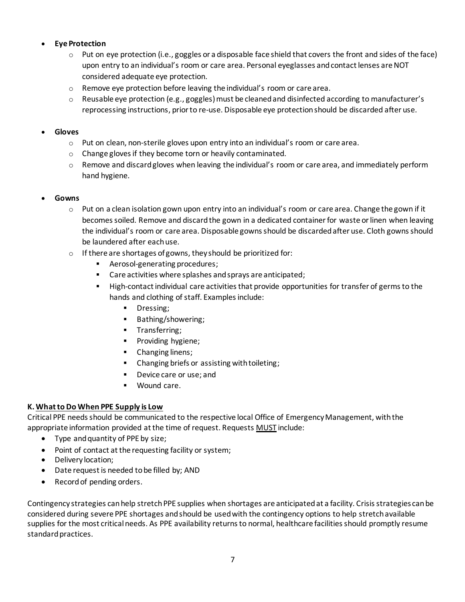## • **Eye Protection**

- $\circ$  Put on eye protection (i.e., goggles or a disposable face shield that covers the front and sides of the face) upon entry to an individual's room or care area. Personal eyeglasses and contact lenses are NOT considered adequate eye protection.
- o Remove eye protection before leaving the individual's room or care area.
- $\circ$  Reusable eye protection (e.g., goggles) must be cleaned and disinfected according to manufacturer's reprocessing instructions, prior to re-use. Disposable eye protection should be discarded after use.

#### • **Gloves**

- $\circ$  Put on clean, non-sterile gloves upon entry into an individual's room or care area.
- o Change gloves if they become torn or heavily contaminated.
- $\circ$  Remove and discard gloves when leaving the individual's room or care area, and immediately perform hand hygiene.

#### • **Gowns**

- $\circ$  Put on a clean isolation gown upon entry into an individual's room or care area. Change the gown if it becomes soiled. Remove and discard the gown in a dedicated container for waste or linen when leaving the individual's room or care area. Disposable gowns should be discarded after use. Cloth gowns should be laundered after each use.
- o If there are shortages of gowns, they should be prioritized for:
	- Aerosol-generating procedures;
	- Care activities where splashes and sprays are anticipated;
	- High-contact individual care activities that provide opportunities for transfer of germs to the hands and clothing of staff. Examples include:
		- **■** Dressing;
		- Bathing/showering;
		- **■** Transferring;
		- **•** Providing hygiene;
		- **•** Changing linens;
		- Changing briefs or assisting with toileting;
		- Device care or use; and
		- Wound care.

## **K. What to Do When PPE Supply is Low**

Critical PPE needs should be communicated to the respective local Office of Emergency Management, with the appropriate information provided at the time of request. Requests MUST include:

- Type and quantity of PPE by size;
- Point of contact at the requesting facility or system;
- Delivery location;
- Date request is needed tobe filled by; AND
- Record of pending orders.

Contingency strategies can help stretch PPE supplies when shortages are anticipated at a facility. Crisis strategies can be considered during severe PPE shortages and should be used with the contingency options to help stretch available supplies for the most critical needs. As PPE availability returns to normal, healthcare facilities should promptly resume standard practices.